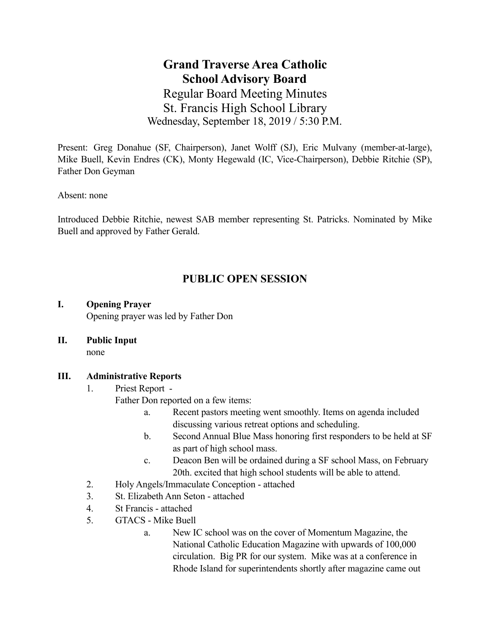**Grand Traverse Area Catholic School Advisory Board**  Regular Board Meeting Minutes St. Francis High School Library Wednesday, September 18, 2019 / 5:30 P.M.

Present: Greg Donahue (SF, Chairperson), Janet Wolff (SJ), Eric Mulvany (member-at-large), Mike Buell, Kevin Endres (CK), Monty Hegewald (IC, Vice-Chairperson), Debbie Ritchie (SP), Father Don Geyman

Absent: none

Introduced Debbie Ritchie, newest SAB member representing St. Patricks. Nominated by Mike Buell and approved by Father Gerald.

# **PUBLIC OPEN SESSION**

### **I. Opening Prayer**

Opening prayer was led by Father Don

**II. Public Input** 

none

# **III. Administrative Reports**

1. Priest Report -

Father Don reported on a few items:

- a. Recent pastors meeting went smoothly. Items on agenda included discussing various retreat options and scheduling.
- b. Second Annual Blue Mass honoring first responders to be held at SF as part of high school mass.
- c. Deacon Ben will be ordained during a SF school Mass, on February 20th. excited that high school students will be able to attend.
- 2. Holy Angels/Immaculate Conception attached
- 3. St. Elizabeth Ann Seton attached
- 4. St Francis attached
- 5. GTACS Mike Buell
	- a. New IC school was on the cover of Momentum Magazine, the National Catholic Education Magazine with upwards of 100,000 circulation. Big PR for our system. Mike was at a conference in Rhode Island for superintendents shortly after magazine came out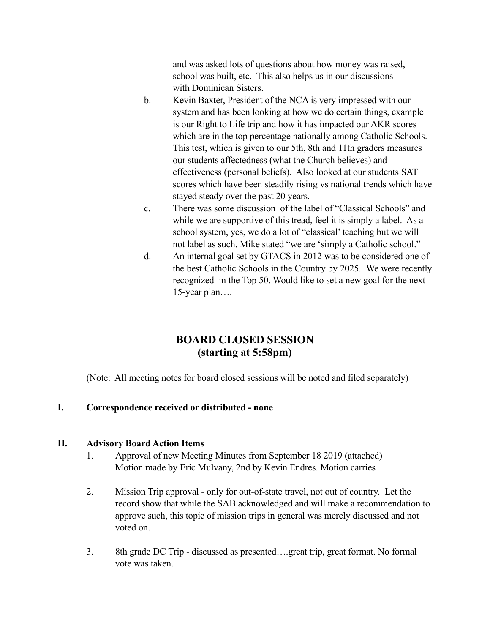and was asked lots of questions about how money was raised, school was built, etc. This also helps us in our discussions with Dominican Sisters.

- b. Kevin Baxter, President of the NCA is very impressed with our system and has been looking at how we do certain things, example is our Right to Life trip and how it has impacted our AKR scores which are in the top percentage nationally among Catholic Schools. This test, which is given to our 5th, 8th and 11th graders measures our students affectedness (what the Church believes) and effectiveness (personal beliefs). Also looked at our students SAT scores which have been steadily rising vs national trends which have stayed steady over the past 20 years.
- c. There was some discussion of the label of "Classical Schools" and while we are supportive of this tread, feel it is simply a label. As a school system, yes, we do a lot of "classical' teaching but we will not label as such. Mike stated "we are 'simply a Catholic school."
- d. An internal goal set by GTACS in 2012 was to be considered one of the best Catholic Schools in the Country by 2025. We were recently recognized in the Top 50. Would like to set a new goal for the next 15-year plan….

# **BOARD CLOSED SESSION (starting at 5:58pm)**

(Note: All meeting notes for board closed sessions will be noted and filed separately)

# **I. Correspondence received or distributed - none**

# **II. Advisory Board Action Items**

- 1. Approval of new Meeting Minutes from September 18 2019 (attached) Motion made by Eric Mulvany, 2nd by Kevin Endres. Motion carries
- 2. Mission Trip approval only for out-of-state travel, not out of country. Let the record show that while the SAB acknowledged and will make a recommendation to approve such, this topic of mission trips in general was merely discussed and not voted on.
- 3. 8th grade DC Trip discussed as presented….great trip, great format. No formal vote was taken.